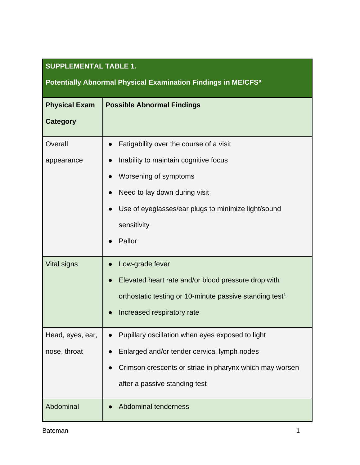### **SUPPLEMENTAL TABLE 1.**

# **Potentially Abnormal Physical Examination Findings in ME/CFS<sup>a</sup>**

| <b>Physical Exam</b> | <b>Possible Abnormal Findings</b>                                   |
|----------------------|---------------------------------------------------------------------|
| <b>Category</b>      |                                                                     |
| Overall              | Fatigability over the course of a visit                             |
| appearance           | Inability to maintain cognitive focus                               |
|                      | Worsening of symptoms                                               |
|                      | Need to lay down during visit                                       |
|                      | Use of eyeglasses/ear plugs to minimize light/sound                 |
|                      | sensitivity                                                         |
|                      | Pallor                                                              |
| <b>Vital signs</b>   | Low-grade fever                                                     |
|                      | Elevated heart rate and/or blood pressure drop with                 |
|                      | orthostatic testing or 10-minute passive standing test <sup>1</sup> |
|                      | Increased respiratory rate<br>$\bullet$                             |
| Head, eyes, ear,     | Pupillary oscillation when eyes exposed to light                    |
| nose, throat         | Enlarged and/or tender cervical lymph nodes                         |
|                      | Crimson crescents or striae in pharynx which may worsen             |
|                      | after a passive standing test                                       |
| Abdominal            | Abdominal tenderness                                                |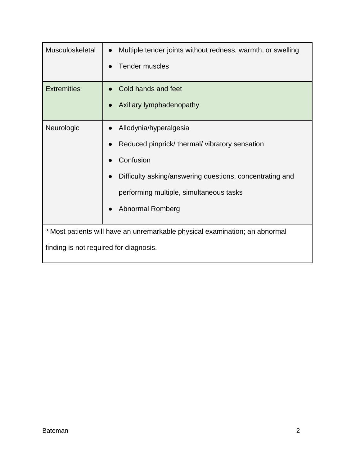| Musculoskeletal                        | Multiple tender joints without redness, warmth, or swelling<br><b>Tender muscles</b>                                                                                                                                  |
|----------------------------------------|-----------------------------------------------------------------------------------------------------------------------------------------------------------------------------------------------------------------------|
| <b>Extremities</b>                     | Cold hands and feet<br>Axillary lymphadenopathy                                                                                                                                                                       |
| Neurologic                             | Allodynia/hyperalgesia<br>Reduced pinprick/thermal/vibratory sensation<br>Confusion<br>Difficulty asking/answering questions, concentrating and<br>performing multiple, simultaneous tasks<br><b>Abnormal Romberg</b> |
| finding is not required for diagnosis. | a Most patients will have an unremarkable physical examination; an abnormal                                                                                                                                           |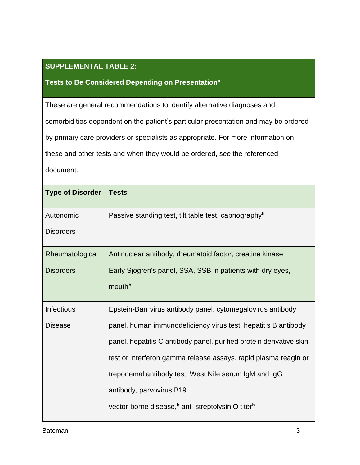#### **SUPPLEMENTAL TABLE 2:**

#### **Tests to Be Considered Depending on Presentation<sup>a</sup>**

These are general recommendations to identify alternative diagnoses and comorbidities dependent on the patient's particular presentation and may be ordered by primary care providers or specialists as appropriate. For more information on these and other tests and when they would be ordered, see the referenced document.

| <b>Type of Disorder</b> | <b>Tests</b>                                                              |
|-------------------------|---------------------------------------------------------------------------|
| Autonomic               | Passive standing test, tilt table test, capnography <sup>b</sup>          |
| <b>Disorders</b>        |                                                                           |
| Rheumatological         | Antinuclear antibody, rheumatoid factor, creatine kinase                  |
| <b>Disorders</b>        | Early Sjogren's panel, SSA, SSB in patients with dry eyes,                |
|                         | mouthb                                                                    |
| <b>Infectious</b>       | Epstein-Barr virus antibody panel, cytomegalovirus antibody               |
| <b>Disease</b>          | panel, human immunodeficiency virus test, hepatitis B antibody            |
|                         | panel, hepatitis C antibody panel, purified protein derivative skin       |
|                         | test or interferon gamma release assays, rapid plasma reagin or           |
|                         | treponemal antibody test, West Nile serum IgM and IgG                     |
|                         | antibody, parvovirus B19                                                  |
|                         | vector-borne disease, <sup>b</sup> anti-streptolysin O titer <sup>b</sup> |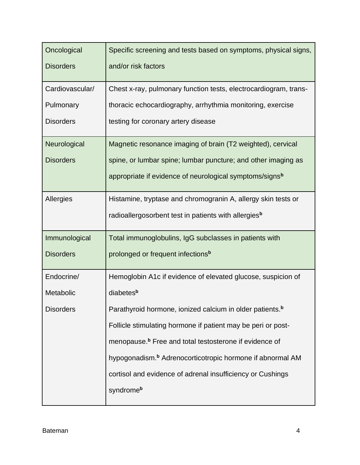| Oncological      | Specific screening and tests based on symptoms, physical signs,       |  |  |
|------------------|-----------------------------------------------------------------------|--|--|
| <b>Disorders</b> | and/or risk factors                                                   |  |  |
| Cardiovascular/  | Chest x-ray, pulmonary function tests, electrocardiogram, trans-      |  |  |
| Pulmonary        | thoracic echocardiography, arrhythmia monitoring, exercise            |  |  |
| <b>Disorders</b> | testing for coronary artery disease                                   |  |  |
| Neurological     | Magnetic resonance imaging of brain (T2 weighted), cervical           |  |  |
| <b>Disorders</b> | spine, or lumbar spine; lumbar puncture; and other imaging as         |  |  |
|                  | appropriate if evidence of neurological symptoms/signs <sup>b</sup>   |  |  |
| Allergies        | Histamine, tryptase and chromogranin A, allergy skin tests or         |  |  |
|                  | radioallergosorbent test in patients with allergies <sup>b</sup>      |  |  |
| Immunological    | Total immunoglobulins, IgG subclasses in patients with                |  |  |
| <b>Disorders</b> | prolonged or frequent infections <sup>b</sup>                         |  |  |
| Endocrine/       | Hemoglobin A1c if evidence of elevated glucose, suspicion of          |  |  |
| Metabolic        | diabetes <sup>b</sup>                                                 |  |  |
| <b>Disorders</b> | Parathyroid hormone, ionized calcium in older patients. <sup>b</sup>  |  |  |
|                  | Follicle stimulating hormone if patient may be peri or post-          |  |  |
|                  | menopause. <sup>b</sup> Free and total testosterone if evidence of    |  |  |
|                  | hypogonadism. <sup>b</sup> Adrenocorticotropic hormone if abnormal AM |  |  |
|                  | cortisol and evidence of adrenal insufficiency or Cushings            |  |  |
|                  | syndromeb                                                             |  |  |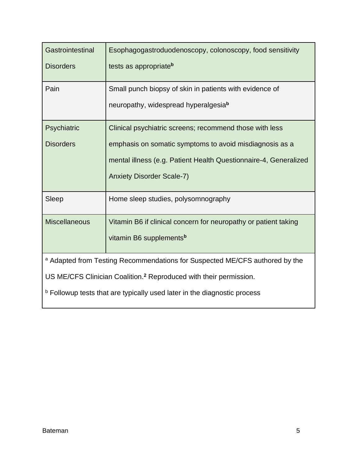| Gastrointestinal<br><b>Disorders</b>                                                                                                                                                                                                            | Esophagogastroduodenoscopy, colonoscopy, food sensitivity<br>tests as appropriateb                                                                                                                                         |  |
|-------------------------------------------------------------------------------------------------------------------------------------------------------------------------------------------------------------------------------------------------|----------------------------------------------------------------------------------------------------------------------------------------------------------------------------------------------------------------------------|--|
| Pain                                                                                                                                                                                                                                            | Small punch biopsy of skin in patients with evidence of<br>neuropathy, widespread hyperalgesiab                                                                                                                            |  |
| Psychiatric<br><b>Disorders</b>                                                                                                                                                                                                                 | Clinical psychiatric screens; recommend those with less<br>emphasis on somatic symptoms to avoid misdiagnosis as a<br>mental illness (e.g. Patient Health Questionnaire-4, Generalized<br><b>Anxiety Disorder Scale-7)</b> |  |
| Sleep                                                                                                                                                                                                                                           | Home sleep studies, polysomnography                                                                                                                                                                                        |  |
| <b>Miscellaneous</b>                                                                                                                                                                                                                            | Vitamin B6 if clinical concern for neuropathy or patient taking<br>vitamin B6 supplements <sup>b</sup>                                                                                                                     |  |
| a Adapted from Testing Recommendations for Suspected ME/CFS authored by the<br>US ME/CFS Clinician Coalition. <sup>2</sup> Reproduced with their permission.<br><b>b</b> Followup tests that are typically used later in the diagnostic process |                                                                                                                                                                                                                            |  |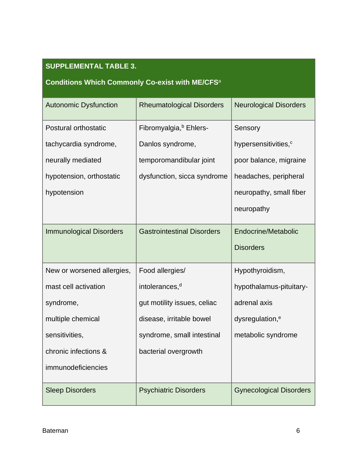### **SUPPLEMENTAL TABLE 3.**

# **Conditions Which Commonly Co-exist with ME/CFS**<sup>a</sup>

| <b>Autonomic Dysfunction</b>   | <b>Rheumatological Disorders</b>   | <b>Neurological Disorders</b>    |
|--------------------------------|------------------------------------|----------------------------------|
|                                |                                    |                                  |
| Postural orthostatic           | Fibromyalgia, <sup>b</sup> Ehlers- | Sensory                          |
| tachycardia syndrome,          | Danlos syndrome,                   | hypersensitivities, <sup>c</sup> |
| neurally mediated              | temporomandibular joint            | poor balance, migraine           |
| hypotension, orthostatic       | dysfunction, sicca syndrome        | headaches, peripheral            |
| hypotension                    |                                    | neuropathy, small fiber          |
|                                |                                    | neuropathy                       |
| <b>Immunological Disorders</b> | <b>Gastrointestinal Disorders</b>  | Endocrine/Metabolic              |
|                                |                                    | <b>Disorders</b>                 |
| New or worsened allergies,     | Food allergies/                    | Hypothyroidism,                  |
| mast cell activation           | intolerances, <sup>d</sup>         | hypothalamus-pituitary-          |
| syndrome,                      | gut motility issues, celiac        | adrenal axis                     |
| multiple chemical              | disease, irritable bowel           | dysregulation, <sup>e</sup>      |
| sensitivities,                 | syndrome, small intestinal         | metabolic syndrome               |
| chronic infections &           | bacterial overgrowth               |                                  |
| immunodeficiencies             |                                    |                                  |
| <b>Sleep Disorders</b>         | <b>Psychiatric Disorders</b>       | <b>Gynecological Disorders</b>   |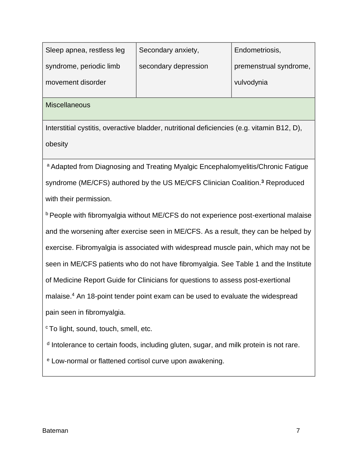| Sleep apnea, restless leg | Secondary anxiety,   | Endometriosis,         |
|---------------------------|----------------------|------------------------|
| syndrome, periodic limb   | secondary depression | premenstrual syndrome, |
| movement disorder         |                      | vulvodynia             |
|                           |                      |                        |

**Miscellaneous** 

Interstitial cystitis, overactive bladder, nutritional deficiencies (e.g. vitamin B12, D), obesity

a Adapted from Diagnosing and Treating Myalgic Encephalomyelitis/Chronic Fatigue syndrome (ME/CFS) authored by the US ME/CFS Clinician Coalition.**<sup>3</sup>** Reproduced with their permission.

b People with fibromyalgia without ME/CFS do not experience post-exertional malaise and the worsening after exercise seen in ME/CFS. As a result, they can be helped by exercise. Fibromyalgia is associated with widespread muscle pain, which may not be seen in ME/CFS patients who do not have fibromyalgia. See Table 1 and the Institute of Medicine Report Guide for Clinicians for questions to assess post-exertional malaise.<sup>4</sup> An 18-point tender point exam can be used to evaluate the widespread pain seen in fibromyalgia.

<sup>c</sup> To light, sound, touch, smell, etc.

<sup>d</sup> Intolerance to certain foods, including gluten, sugar, and milk protein is not rare.

<sup>e</sup> Low-normal or flattened cortisol curve upon awakening.